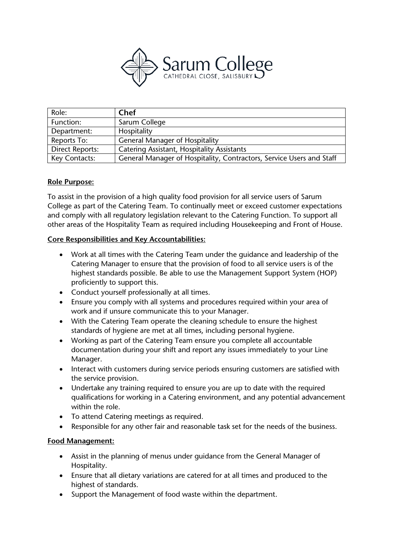

| Role:                  | <b>Chef</b>                                                          |
|------------------------|----------------------------------------------------------------------|
| Function:              | Sarum College                                                        |
| Department:            | Hospitality                                                          |
| Reports To:            | <b>General Manager of Hospitality</b>                                |
| <b>Direct Reports:</b> | <b>Catering Assistant, Hospitality Assistants</b>                    |
| Key Contacts:          | General Manager of Hospitality, Contractors, Service Users and Staff |

## **Role Purpose:**

To assist in the provision of a high quality food provision for all service users of Sarum College as part of the Catering Team. To continually meet or exceed customer expectations and comply with all regulatory legislation relevant to the Catering Function. To support all other areas of the Hospitality Team as required including Housekeeping and Front of House.

## **Core Responsibilities and Key Accountabilities:**

- Work at all times with the Catering Team under the guidance and leadership of the Catering Manager to ensure that the provision of food to all service users is of the highest standards possible. Be able to use the Management Support System (HOP) proficiently to support this.
- Conduct yourself professionally at all times.
- Ensure you comply with all systems and procedures required within your area of work and if unsure communicate this to your Manager.
- With the Catering Team operate the cleaning schedule to ensure the highest standards of hygiene are met at all times, including personal hygiene.
- Working as part of the Catering Team ensure you complete all accountable documentation during your shift and report any issues immediately to your Line Manager.
- Interact with customers during service periods ensuring customers are satisfied with the service provision.
- Undertake any training required to ensure you are up to date with the required qualifications for working in a Catering environment, and any potential advancement within the role.
- To attend Catering meetings as required.
- Responsible for any other fair and reasonable task set for the needs of the business.

# **Food Management:**

- Assist in the planning of menus under guidance from the General Manager of Hospitality.
- Ensure that all dietary variations are catered for at all times and produced to the highest of standards.
- Support the Management of food waste within the department.